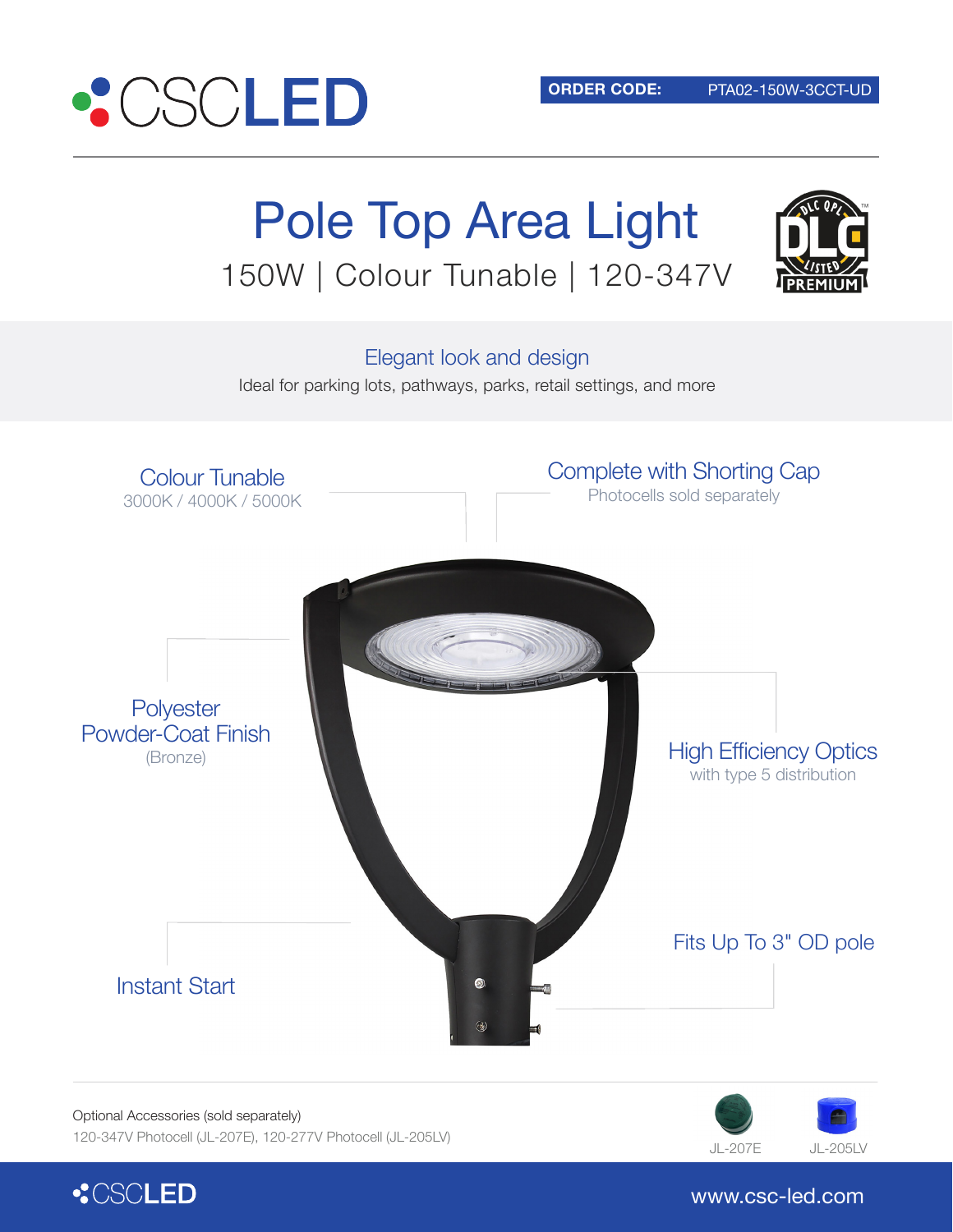

# Pole Top Area Light 150W | Colour Tunable | 120-347V



Elegant look and design

Ideal for parking lots, pathways, parks, retail settings, and more



Optional Accessories (sold separately)







www.csc-led.com